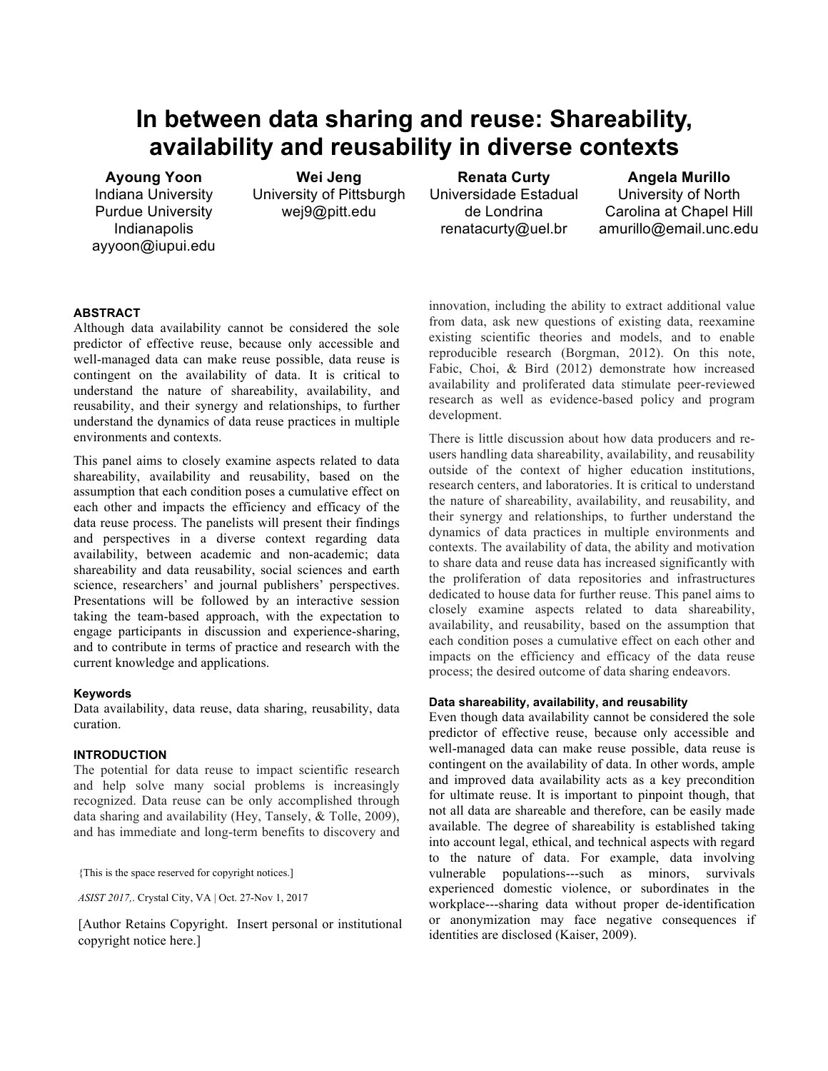# **In between data sharing and reuse: Shareability, availability and reusability in diverse contexts**

**Ayoung Yoon** Indiana University Purdue University Indianapolis ayyoon@iupui.edu

**Wei Jeng** University of Pittsburgh wej9@pitt.edu

**Renata Curty** Universidade Estadual de Londrina renatacurty@uel.br

**Angela Murillo** University of North Carolina at Chapel Hill amurillo@email.unc.edu

# **ABSTRACT**

Although data availability cannot be considered the sole predictor of effective reuse, because only accessible and well-managed data can make reuse possible, data reuse is contingent on the availability of data. It is critical to understand the nature of shareability, availability, and reusability, and their synergy and relationships, to further understand the dynamics of data reuse practices in multiple environments and contexts.

This panel aims to closely examine aspects related to data shareability, availability and reusability, based on the assumption that each condition poses a cumulative effect on each other and impacts the efficiency and efficacy of the data reuse process. The panelists will present their findings and perspectives in a diverse context regarding data availability, between academic and non-academic; data shareability and data reusability, social sciences and earth science, researchers' and journal publishers' perspectives. Presentations will be followed by an interactive session taking the team-based approach, with the expectation to engage participants in discussion and experience-sharing, and to contribute in terms of practice and research with the current knowledge and applications.

#### **Keywords**

Data availability, data reuse, data sharing, reusability, data curation.

#### **INTRODUCTION**

The potential for data reuse to impact scientific research and help solve many social problems is increasingly recognized. Data reuse can be only accomplished through data sharing and availability (Hey, Tansely, & Tolle, 2009), and has immediate and long-term benefits to discovery and

{This is the space reserved for copyright notices.]

*ASIST 2017,*. Crystal City, VA | Oct. 27-Nov 1, 2017

[Author Retains Copyright. Insert personal or institutional copyright notice here.]

innovation, including the ability to extract additional value from data, ask new questions of existing data, reexamine existing scientific theories and models, and to enable reproducible research (Borgman, 2012). On this note, Fabic, Choi, & Bird (2012) demonstrate how increased availability and proliferated data stimulate peer-reviewed research as well as evidence-based policy and program development.

There is little discussion about how data producers and reusers handling data shareability, availability, and reusability outside of the context of higher education institutions, research centers, and laboratories. It is critical to understand the nature of shareability, availability, and reusability, and their synergy and relationships, to further understand the dynamics of data practices in multiple environments and contexts. The availability of data, the ability and motivation to share data and reuse data has increased significantly with the proliferation of data repositories and infrastructures dedicated to house data for further reuse. This panel aims to closely examine aspects related to data shareability, availability, and reusability, based on the assumption that each condition poses a cumulative effect on each other and impacts on the efficiency and efficacy of the data reuse process; the desired outcome of data sharing endeavors.

#### **Data shareability, availability, and reusability**

Even though data availability cannot be considered the sole predictor of effective reuse, because only accessible and well-managed data can make reuse possible, data reuse is contingent on the availability of data. In other words, ample and improved data availability acts as a key precondition for ultimate reuse. It is important to pinpoint though, that not all data are shareable and therefore, can be easily made available. The degree of shareability is established taking into account legal, ethical, and technical aspects with regard to the nature of data. For example, data involving vulnerable populations---such as minors, survivals experienced domestic violence, or subordinates in the workplace---sharing data without proper de-identification or anonymization may face negative consequences if identities are disclosed (Kaiser, 2009).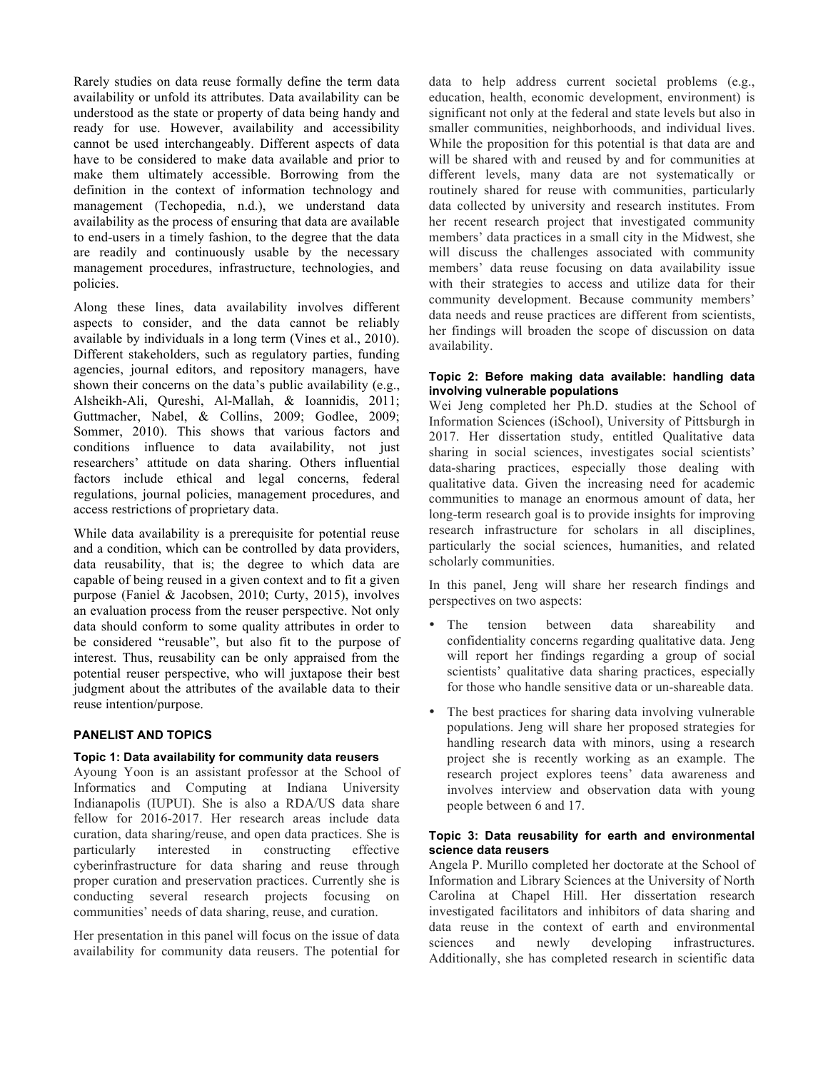Rarely studies on data reuse formally define the term data availability or unfold its attributes. Data availability can be understood as the state or property of data being handy and ready for use. However, availability and accessibility cannot be used interchangeably. Different aspects of data have to be considered to make data available and prior to make them ultimately accessible. Borrowing from the definition in the context of information technology and management (Techopedia, n.d.), we understand data availability as the process of ensuring that data are available to end-users in a timely fashion, to the degree that the data are readily and continuously usable by the necessary management procedures, infrastructure, technologies, and policies.

Along these lines, data availability involves different aspects to consider, and the data cannot be reliably available by individuals in a long term (Vines et al., 2010). Different stakeholders, such as regulatory parties, funding agencies, journal editors, and repository managers, have shown their concerns on the data's public availability (e.g., Alsheikh-Ali, Qureshi, Al-Mallah, & Ioannidis, 2011; Guttmacher, Nabel, & Collins, 2009; Godlee, 2009; Sommer, 2010). This shows that various factors and conditions influence to data availability, not just researchers' attitude on data sharing. Others influential factors include ethical and legal concerns, federal regulations, journal policies, management procedures, and access restrictions of proprietary data.

While data availability is a prerequisite for potential reuse and a condition, which can be controlled by data providers, data reusability, that is; the degree to which data are capable of being reused in a given context and to fit a given purpose (Faniel & Jacobsen, 2010; Curty, 2015), involves an evaluation process from the reuser perspective. Not only data should conform to some quality attributes in order to be considered "reusable", but also fit to the purpose of interest. Thus, reusability can be only appraised from the potential reuser perspective, who will juxtapose their best judgment about the attributes of the available data to their reuse intention/purpose.

# **PANELIST AND TOPICS**

# **Topic 1: Data availability for community data reusers**

Ayoung Yoon is an assistant professor at the School of Informatics and Computing at Indiana University Indianapolis (IUPUI). She is also a RDA/US data share fellow for 2016-2017. Her research areas include data curation, data sharing/reuse, and open data practices. She is particularly interested in constructing effective cyberinfrastructure for data sharing and reuse through proper curation and preservation practices. Currently she is conducting several research projects focusing on communities' needs of data sharing, reuse, and curation.

Her presentation in this panel will focus on the issue of data availability for community data reusers. The potential for

data to help address current societal problems (e.g., education, health, economic development, environment) is significant not only at the federal and state levels but also in smaller communities, neighborhoods, and individual lives. While the proposition for this potential is that data are and will be shared with and reused by and for communities at different levels, many data are not systematically or routinely shared for reuse with communities, particularly data collected by university and research institutes. From her recent research project that investigated community members' data practices in a small city in the Midwest, she will discuss the challenges associated with community members' data reuse focusing on data availability issue with their strategies to access and utilize data for their community development. Because community members' data needs and reuse practices are different from scientists, her findings will broaden the scope of discussion on data availability.

#### **Topic 2: Before making data available: handling data involving vulnerable populations**

Wei Jeng completed her Ph.D. studies at the School of Information Sciences (iSchool), University of Pittsburgh in 2017. Her dissertation study, entitled Qualitative data sharing in social sciences, investigates social scientists' data-sharing practices, especially those dealing with qualitative data. Given the increasing need for academic communities to manage an enormous amount of data, her long-term research goal is to provide insights for improving research infrastructure for scholars in all disciplines, particularly the social sciences, humanities, and related scholarly communities.

In this panel, Jeng will share her research findings and perspectives on two aspects:

- The tension between data shareability and confidentiality concerns regarding qualitative data. Jeng will report her findings regarding a group of social scientists' qualitative data sharing practices, especially for those who handle sensitive data or un-shareable data.
- The best practices for sharing data involving vulnerable populations. Jeng will share her proposed strategies for handling research data with minors, using a research project she is recently working as an example. The research project explores teens' data awareness and involves interview and observation data with young people between 6 and 17.

#### **Topic 3: Data reusability for earth and environmental science data reusers**

Angela P. Murillo completed her doctorate at the School of Information and Library Sciences at the University of North Carolina at Chapel Hill. Her dissertation research investigated facilitators and inhibitors of data sharing and data reuse in the context of earth and environmental sciences and newly developing infrastructures. Additionally, she has completed research in scientific data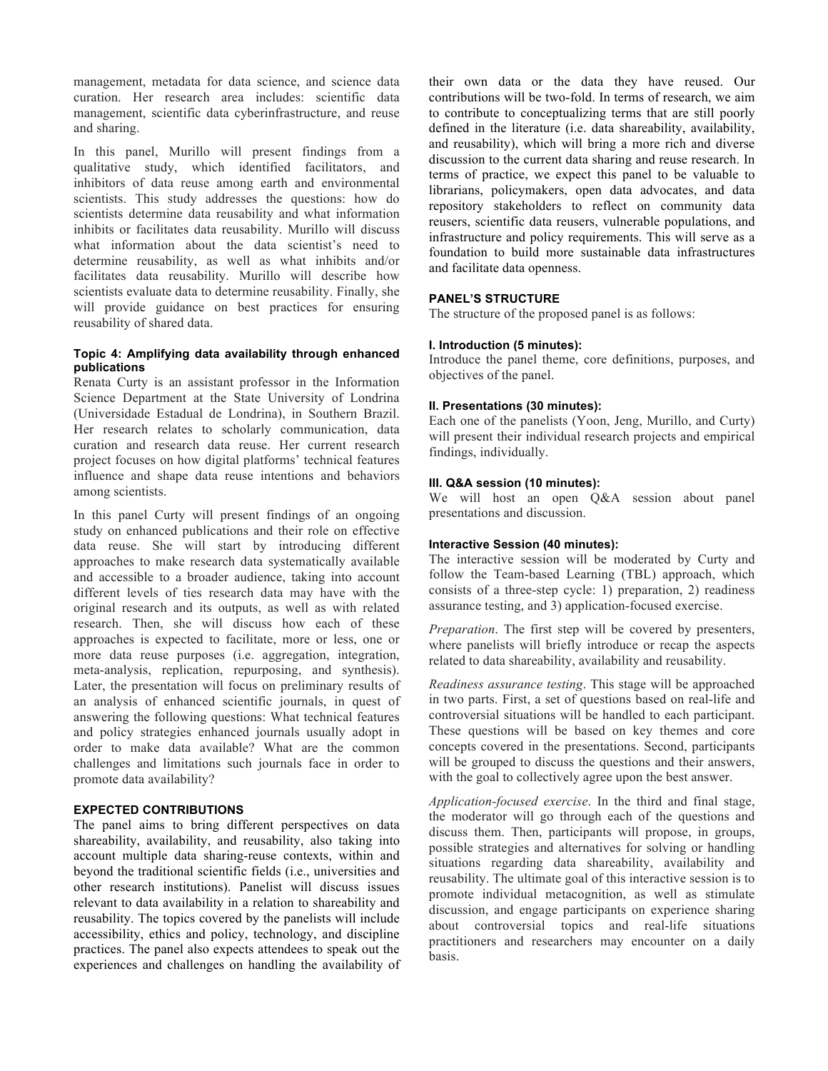management, metadata for data science, and science data curation. Her research area includes: scientific data management, scientific data cyberinfrastructure, and reuse and sharing.

In this panel, Murillo will present findings from a qualitative study, which identified facilitators, and inhibitors of data reuse among earth and environmental scientists. This study addresses the questions: how do scientists determine data reusability and what information inhibits or facilitates data reusability. Murillo will discuss what information about the data scientist's need to determine reusability, as well as what inhibits and/or facilitates data reusability. Murillo will describe how scientists evaluate data to determine reusability. Finally, she will provide guidance on best practices for ensuring reusability of shared data.

#### **Topic 4: Amplifying data availability through enhanced publications**

Renata Curty is an assistant professor in the Information Science Department at the State University of Londrina (Universidade Estadual de Londrina), in Southern Brazil. Her research relates to scholarly communication, data curation and research data reuse. Her current research project focuses on how digital platforms' technical features influence and shape data reuse intentions and behaviors among scientists.

In this panel Curty will present findings of an ongoing study on enhanced publications and their role on effective data reuse. She will start by introducing different approaches to make research data systematically available and accessible to a broader audience, taking into account different levels of ties research data may have with the original research and its outputs, as well as with related research. Then, she will discuss how each of these approaches is expected to facilitate, more or less, one or more data reuse purposes (i.e. aggregation, integration, meta-analysis, replication, repurposing, and synthesis). Later, the presentation will focus on preliminary results of an analysis of enhanced scientific journals, in quest of answering the following questions: What technical features and policy strategies enhanced journals usually adopt in order to make data available? What are the common challenges and limitations such journals face in order to promote data availability?

# **EXPECTED CONTRIBUTIONS**

The panel aims to bring different perspectives on data shareability, availability, and reusability, also taking into account multiple data sharing-reuse contexts, within and beyond the traditional scientific fields (i.e., universities and other research institutions). Panelist will discuss issues relevant to data availability in a relation to shareability and reusability. The topics covered by the panelists will include accessibility, ethics and policy, technology, and discipline practices. The panel also expects attendees to speak out the experiences and challenges on handling the availability of

their own data or the data they have reused. Our contributions will be two-fold. In terms of research, we aim to contribute to conceptualizing terms that are still poorly defined in the literature (i.e. data shareability, availability, and reusability), which will bring a more rich and diverse discussion to the current data sharing and reuse research. In terms of practice, we expect this panel to be valuable to librarians, policymakers, open data advocates, and data repository stakeholders to reflect on community data reusers, scientific data reusers, vulnerable populations, and infrastructure and policy requirements. This will serve as a foundation to build more sustainable data infrastructures and facilitate data openness.

# **PANEL'S STRUCTURE**

The structure of the proposed panel is as follows:

# **I. Introduction (5 minutes):**

Introduce the panel theme, core definitions, purposes, and objectives of the panel.

#### **II. Presentations (30 minutes):**

Each one of the panelists (Yoon, Jeng, Murillo, and Curty) will present their individual research projects and empirical findings, individually.

# **III. Q&A session (10 minutes):**

We will host an open Q&A session about panel presentations and discussion.

#### **Interactive Session (40 minutes):**

The interactive session will be moderated by Curty and follow the Team-based Learning (TBL) approach, which consists of a three-step cycle: 1) preparation, 2) readiness assurance testing, and 3) application-focused exercise.

*Preparation*. The first step will be covered by presenters, where panelists will briefly introduce or recap the aspects related to data shareability, availability and reusability.

*Readiness assurance testing*. This stage will be approached in two parts. First, a set of questions based on real-life and controversial situations will be handled to each participant. These questions will be based on key themes and core concepts covered in the presentations. Second, participants will be grouped to discuss the questions and their answers, with the goal to collectively agree upon the best answer.

*Application-focused exercise*. In the third and final stage, the moderator will go through each of the questions and discuss them. Then, participants will propose, in groups, possible strategies and alternatives for solving or handling situations regarding data shareability, availability and reusability. The ultimate goal of this interactive session is to promote individual metacognition, as well as stimulate discussion, and engage participants on experience sharing about controversial topics and real-life situations practitioners and researchers may encounter on a daily basis.